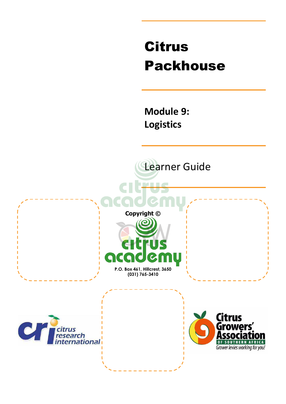# Citrus Packhouse

**Module 9: Logistics** 

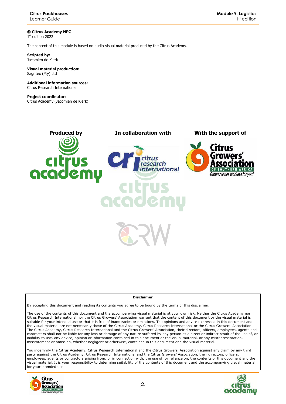**© Citrus Academy NPC**  1 st edition 2022

The content of this module is based on audio-visual material produced by the Citrus Academy.

**Scripted by:**  Jacomien de Klerk

#### **Visual material production:**  Sagritex (Pty) Ltd

**Additional information sources:**  Citrus Research International

**Project coordinator:** Citrus Academy (Jacomien de Klerk)



#### **Disclaimer**

By accepting this document and reading its contents you agree to be bound by the terms of this disclaimer.

The use of the contents of this document and the accompanying visual material is at your own risk. Neither the Citrus Academy nor Citrus Research International nor the Citrus Growers' Association warrant that the content of this document or the visual material is suitable for your intended use or that it is free of inaccuracies or omissions. The opinions and advice expressed in this document and the visual material are not necessarily those of the Citrus Academy, Citrus Research International or the Citrus Growers' Association. The Citrus Academy, Citrus Research International and the Citrus Growers' Association, their directors, officers, employees, agents and contractors shall not be liable for any loss or damage of any nature suffered by any person as a direct or indirect result of the use of, or inability to use, any advice, opinion or information contained in this document or the visual material, or any misrepresentation, misstatement or omission, whether negligent or otherwise, contained in this document and the visual material.

You indemnify the Citrus Academy, Citrus Research International and the Citrus Growers' Association against any claim by any third party against the Citrus Academy, Citrus Research International and the Citrus Growers' Association, their directors, officers, employees, agents or contractors arising from, or in connection with, the use of, or reliance on, the contents of this document and the visual material. It is your responsibility to determine suitability of the contents of this document and the accompanying visual material for your intended use.



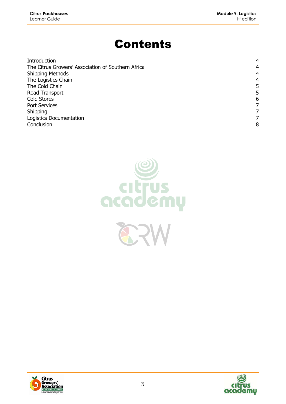# Contents

| Introduction                                       | 4 |
|----------------------------------------------------|---|
| The Citrus Growers' Association of Southern Africa | 4 |
| <b>Shipping Methods</b>                            | 4 |
| The Logistics Chain                                | 4 |
| The Cold Chain                                     | 5 |
| Road Transport                                     | 5 |
| <b>Cold Stores</b>                                 | 6 |
| <b>Port Services</b>                               |   |
| Shipping                                           |   |
| Logistics Documentation                            |   |
| Conclusion                                         | 8 |





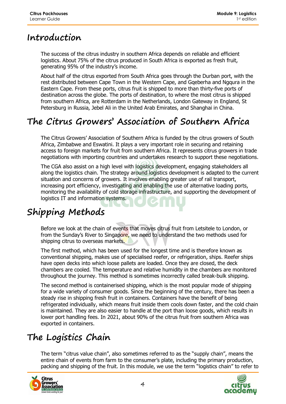#### **Introduction**

The success of the citrus industry in southern Africa depends on reliable and efficient logistics. About 75% of the citrus produced in South Africa is exported as fresh fruit, generating 95% of the industry's income.

About half of the citrus exported from South Africa goes through the Durban port, with the rest distributed between Cape Town in the Western Cape, and Gqeberha and Ngqura in the Eastern Cape. From these ports, citrus fruit is shipped to more than thirty-five ports of destination across the globe. The ports of destination, to where the most citrus is shipped from southern Africa, are Rotterdam in the Netherlands, London Gateway in England, St Petersburg in Russia, Jebel Ali in the United Arab Emirates, and Shanghai in China.

## **The Citrus Growers' Association of Southern Africa**

The Citrus Growers' Association of Southern Africa is funded by the citrus growers of South Africa, Zimbabwe and Eswatini. It plays a very important role in securing and retaining access to foreign markets for fruit from southern Africa. It represents citrus growers in trade negotiations with importing countries and undertakes research to support these negotiations.

The CGA also assist on a high level with logistics development, engaging stakeholders all along the logistics chain. The strategy around logistics development is adapted to the current situation and concerns of growers. It involves enabling greater use of rail transport, increasing port efficiency, investigating and enabling the use of alternative loading ports, monitoring the availability of cold storage infrastructure, and supporting the development of logistics IT and information systems.

# **Shipping Methods**

Before we look at the chain of events that moves citrus fruit from Letsitele to London, or from the Sunday's River to Singapore, we need to understand the two methods used for shipping citrus to overseas markets.

The first method, which has been used for the longest time and is therefore known as conventional shipping, makes use of specialised reefer, or refrigeration, ships. Reefer ships have open decks into which loose pallets are loaded. Once they are closed, the deck chambers are cooled. The temperature and relative humidity in the chambers are monitored throughout the journey. This method is sometimes incorrectly called break-bulk shipping.

The second method is containerised shipping, which is the most popular mode of shipping for a wide variety of consumer goods. Since the beginning of the century, there has been a steady rise in shipping fresh fruit in containers. Containers have the benefit of being refrigerated individually, which means fruit inside them cools down faster, and the cold chain is maintained. They are also easier to handle at the port than loose goods, which results in lower port handling fees. In 2021, about 90% of the citrus fruit from southern Africa was exported in containers.

# **The Logistics Chain**

The term "citrus value chain", also sometimes referred to as the "supply chain", means the entire chain of events from farm to the consumer's plate, including the primary production, packing and shipping of the fruit. In this module, we use the term "logistics chain" to refer to



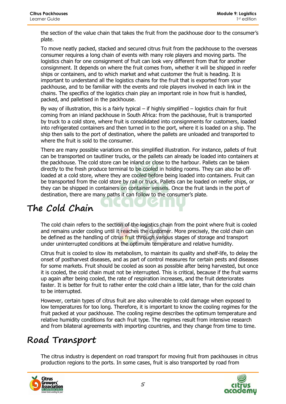the section of the value chain that takes the fruit from the packhouse door to the consumer's plate.

To move neatly packed, stacked and secured citrus fruit from the packhouse to the overseas consumer requires a long chain of events with many role players and moving parts. The logistics chain for one consignment of fruit can look very different from that for another consignment. It depends on where the fruit comes from, whether it will be shipped in reefer ships or containers, and to which market and what customer the fruit is heading. It is important to understand all the logistics chains for the fruit that is exported from your packhouse, and to be familiar with the events and role players involved in each link in the chains. The specifics of the logistics chain play an important role in how fruit is handled, packed, and palletised in the packhouse.

By way of illustration, this is a fairly typical – if highly simplified – logistics chain for fruit coming from an inland packhouse in South Africa: from the packhouse, fruit is transported by truck to a cold store, where fruit is consolidated into consignments for customers, loaded into refrigerated containers and then turned in to the port, where it is loaded on a ship. The ship then sails to the port of destination, where the pallets are unloaded and transported to where the fruit is sold to the consumer.

There are many possible variations on this simplified illustration. For instance, pallets of fruit can be transported on tautliner trucks, or the pallets can already be loaded into containers at the packhouse. The cold store can be inland or close to the harbour. Pallets can be taken directly to the fresh produce terminal to be cooled in holding rooms. They can also be offloaded at a cold store, where they are cooled before being loaded into containers. Fruit can be transported from the cold store by rail or truck. Pallets can be loaded on reefer ships, or they can be shipped in containers on container vessels. Once the fruit lands in the port of destination, there are many paths it can follow to the consumer's plate.

### **The Cold Chain**

The cold chain refers to the section of the logistics chain from the point where fruit is cooled and remains under cooling until it reaches the customer. More precisely, the cold chain can be defined as the handling of citrus fruit through various stages of storage and transport under uninterrupted conditions at the optimum temperature and relative humidity.

Citrus fruit is cooled to slow its metabolism, to maintain its quality and shelf-life, to delay the onset of postharvest diseases, and as part of control measures for certain pests and diseases for some markets. Fruit should be cooled as soon as possible after being harvested, but once it is cooled, the cold chain must not be interrupted. This is critical, because if the fruit warms up again after being cooled, the rate of respiration increases, and the fruit deteriorates faster. It is better for fruit to rather enter the cold chain a little later, than for the cold chain to be interrupted.

However, certain types of citrus fruit are also vulnerable to cold damage when exposed to low temperatures for too long. Therefore, it is important to know the cooling regimes for the fruit packed at your packhouse. The cooling regime describes the optimum temperature and relative humidity conditions for each fruit type. The regimes result from intensive research and from bilateral agreements with importing countries, and they change from time to time.

#### **Road Transport**

The citrus industry is dependent on road transport for moving fruit from packhouses in citrus production regions to the ports. In some cases, fruit is also transported by road from



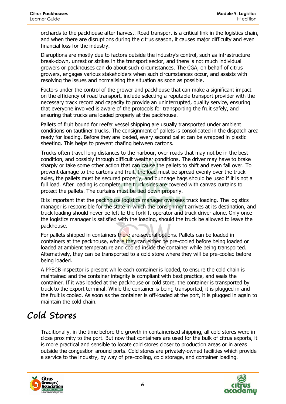orchards to the packhouse after harvest. Road transport is a critical link in the logistics chain, and when there are disruptions during the citrus season, it causes major difficulty and even financial loss for the industry.

Disruptions are mostly due to factors outside the industry's control, such as infrastructure break-down, unrest or strikes in the transport sector, and there is not much individual growers or packhouses can do about such circumstances. The CGA, on behalf of citrus growers, engages various stakeholders when such circumstances occur, and assists with resolving the issues and normalising the situation as soon as possible.

Factors under the control of the grower and packhouse that can make a significant impact on the efficiency of road transport, include selecting a reputable transport provider with the necessary track record and capacity to provide an uninterrupted, quality service, ensuring that everyone involved is aware of the protocols for transporting the fruit safely, and ensuring that trucks are loaded properly at the packhouse.

Pallets of fruit bound for reefer vessel shipping are usually transported under ambient conditions on tautliner trucks. The consignment of pallets is consolidated in the dispatch area ready for loading. Before they are loaded, every second pallet can be wrapped in plastic sheeting. This helps to prevent chafing between cartons.

Trucks often travel long distances to the harbour, over roads that may not be in the best condition, and possibly through difficult weather conditions. The driver may have to brake sharply or take some other action that can cause the pallets to shift and even fall over. To prevent damage to the cartons and fruit, the load must be spread evenly over the truck axles, the pallets must be secured properly, and dunnage bags should be used if it is not a full load. After loading is complete, the truck sides are covered with canvas curtains to protect the pallets. The curtains must be tied down properly.

It is important that the packhouse logistics manager oversees truck loading. The logistics manager is responsible for the state in which the consignment arrives at its destination, and truck loading should never be left to the forklift operator and truck driver alone. Only once the logistics manager is satisfied with the loading, should the truck be allowed to leave the packhouse.

For pallets shipped in containers there are several options. Pallets can be loaded in containers at the packhouse, where they can either be pre-cooled before being loaded or loaded at ambient temperature and cooled inside the container while being transported. Alternatively, they can be transported to a cold store where they will be pre-cooled before being loaded.

A PPECB inspector is present while each container is loaded, to ensure the cold chain is maintained and the container integrity is compliant with best practice, and seals the container. If it was loaded at the packhouse or cold store, the container is transported by truck to the export terminal. While the container is being transported, it is plugged in and the fruit is cooled. As soon as the container is off-loaded at the port, it is plugged in again to maintain the cold chain.

### **Cold Stores**

Traditionally, in the time before the growth in containerised shipping, all cold stores were in close proximity to the port. But now that containers are used for the bulk of citrus exports, it is more practical and sensible to locate cold stores closer to production areas or in areas outside the congestion around ports. Cold stores are privately-owned facilities which provide a service to the industry, by way of pre-cooling, cold storage, and container loading.



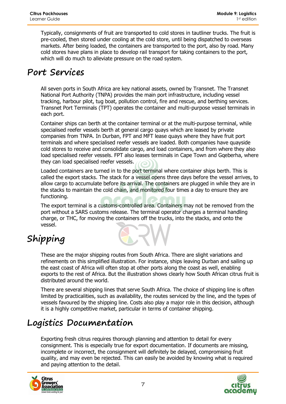Typically, consignments of fruit are transported to cold stores in tautliner trucks. The fruit is pre-cooled, then stored under cooling at the cold store, until being dispatched to overseas markets. After being loaded, the containers are transported to the port, also by road. Many cold stores have plans in place to develop rail transport for taking containers to the port, which will do much to alleviate pressure on the road system.

#### **Port Services**

All seven ports in South Africa are key national assets, owned by Transnet. The Transnet National Port Authority (TNPA) provides the main port infrastructure, including vessel tracking, harbour pilot, tug boat, pollution control, fire and rescue, and berthing services. Transnet Port Terminals (TPT) operates the container and multi-purpose vessel terminals in each port.

Container ships can berth at the container terminal or at the multi-purpose terminal, while specialised reefer vessels berth at general cargo quays which are leased by private companies from TNPA. In Durban, FPT and MFT lease quays where they have fruit port terminals and where specialised reefer vessels are loaded. Both companies have quayside cold stores to receive and consolidate cargo, and load containers, and from where they also load specialised reefer vessels. FPT also leases terminals in Cape Town and Gqeberha, where they can load specialised reefer vessels.

Loaded containers are turned in to the port terminal where container ships berth. This is called the export stacks. The stack for a vessel opens three days before the vessel arrives, to allow cargo to accumulate before its arrival. The containers are plugged in while they are in the stacks to maintain the cold chain, and monitored four times a day to ensure they are functioning.

The export terminal is a customs-controlled area. Containers may not be removed from the port without a SARS customs release. The terminal operator charges a terminal handling charge, or THC, for moving the containers off the trucks, into the stacks, and onto the vessel.

# **Shipping**

These are the major shipping routes from South Africa. There are slight variations and refinements on this simplified illustration. For instance, ships leaving Durban and sailing up the east coast of Africa will often stop at other ports along the coast as well, enabling exports to the rest of Africa. But the illustration shows clearly how South African citrus fruit is distributed around the world.

There are several shipping lines that serve South Africa. The choice of shipping line is often limited by practicalities, such as availability, the routes serviced by the line, and the types of vessels favoured by the shipping line. Costs also play a major role in this decision, although it is a highly competitive market, particular in terms of container shipping.

### **Logistics Documentation**

Exporting fresh citrus requires thorough planning and attention to detail for every consignment. This is especially true for export documentation. If documents are missing, incomplete or incorrect, the consignment will definitely be delayed, compromising fruit quality, and may even be rejected. This can easily be avoided by knowing what is required and paying attention to the detail.